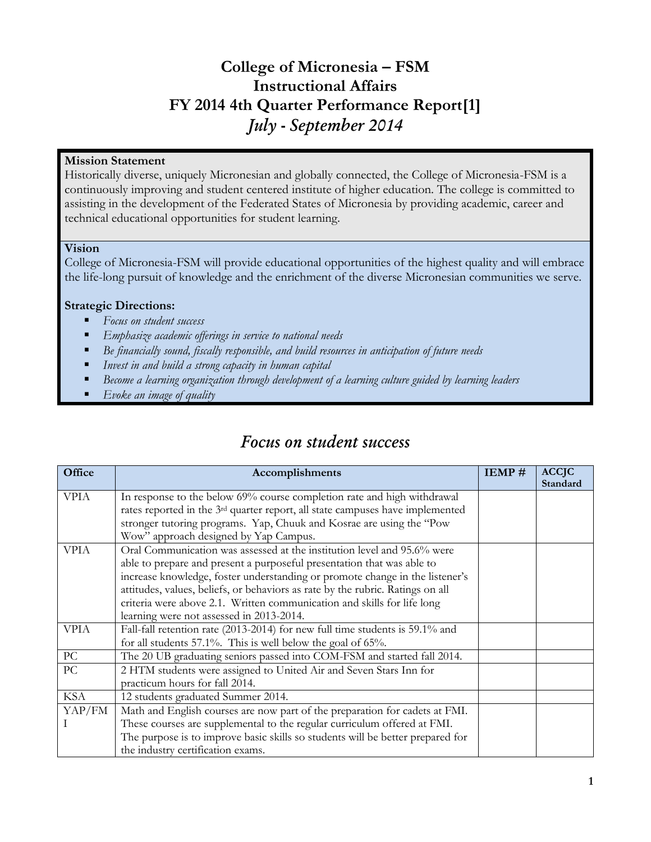### **College of Micronesia – FSM Instructional Affairs FY 2014 4th Quarter Performance Report[1]** *July - September 2014*

### **Mission Statement**

Historically diverse, uniquely Micronesian and globally connected, the College of Micronesia-FSM is a continuously improving and student centered institute of higher education. The college is committed to assisting in the development of the Federated States of Micronesia by providing academic, career and technical educational opportunities for student learning.

### **Vision**

College of Micronesia-FSM will provide educational opportunities of the highest quality and will embrace the life-long pursuit of knowledge and the enrichment of the diverse Micronesian communities we serve.

### **Strategic Directions:**

- *Focus on student success*
- *Emphasize academic offerings in service to national needs*
- *Be financially sound, fiscally responsible, and build resources in anticipation of future needs*
- *Invest in and build a strong capacity in human capital*
- *Become a learning organization through development of a learning culture guided by learning leaders*
- *Evoke an image of quality*

### *Focus on student success*

| Office      | Accomplishments                                                                           | IEMP# | <b>ACCJC</b> |
|-------------|-------------------------------------------------------------------------------------------|-------|--------------|
|             |                                                                                           |       | Standard     |
| <b>VPIA</b> | In response to the below 69% course completion rate and high withdrawal                   |       |              |
|             | rates reported in the 3 <sup>rd</sup> quarter report, all state campuses have implemented |       |              |
|             | stronger tutoring programs. Yap, Chuuk and Kosrae are using the "Pow                      |       |              |
|             | Wow" approach designed by Yap Campus.                                                     |       |              |
| <b>VPIA</b> | Oral Communication was assessed at the institution level and 95.6% were                   |       |              |
|             | able to prepare and present a purposeful presentation that was able to                    |       |              |
|             | increase knowledge, foster understanding or promote change in the listener's              |       |              |
|             | attitudes, values, beliefs, or behaviors as rate by the rubric. Ratings on all            |       |              |
|             | criteria were above 2.1. Written communication and skills for life long                   |       |              |
|             | learning were not assessed in 2013-2014.                                                  |       |              |
| <b>VPIA</b> | Fall-fall retention rate (2013-2014) for new full time students is 59.1% and              |       |              |
|             | for all students $57.1\%$ . This is well below the goal of $65\%$ .                       |       |              |
| PC          | The 20 UB graduating seniors passed into COM-FSM and started fall 2014.                   |       |              |
| PC          | 2 HTM students were assigned to United Air and Seven Stars Inn for                        |       |              |
|             | practicum hours for fall 2014.                                                            |       |              |
| <b>KSA</b>  | 12 students graduated Summer 2014.                                                        |       |              |
| YAP/FM      | Math and English courses are now part of the preparation for cadets at FMI.               |       |              |
|             | These courses are supplemental to the regular curriculum offered at FMI.                  |       |              |
|             | The purpose is to improve basic skills so students will be better prepared for            |       |              |
|             | the industry certification exams.                                                         |       |              |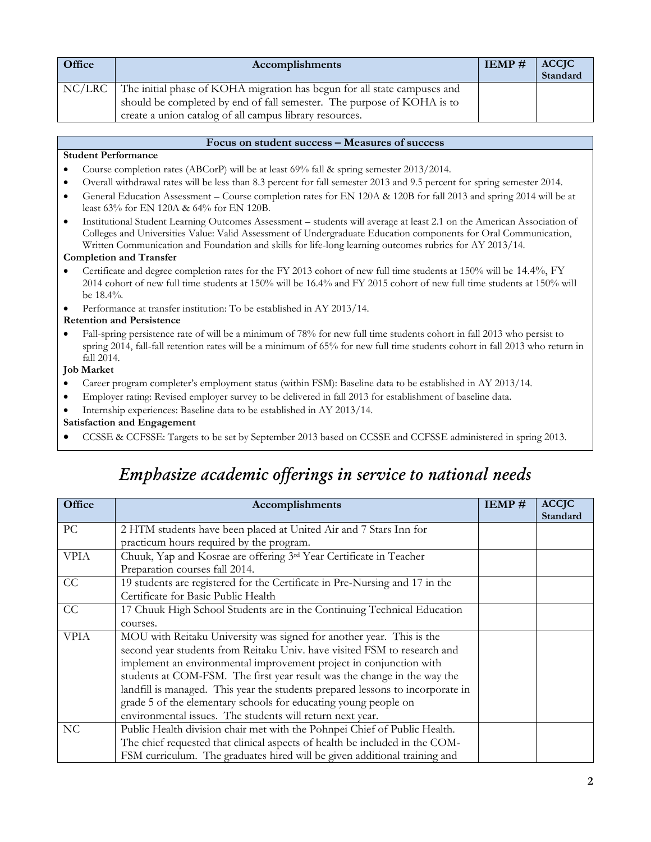| <b>Office</b> | Accomplishments                                                          |  | ACCJC<br>Standard |
|---------------|--------------------------------------------------------------------------|--|-------------------|
| NC/LRC        | The initial phase of KOHA migration has begun for all state campuses and |  |                   |
|               | should be completed by end of fall semester. The purpose of KOHA is to   |  |                   |
|               | create a union catalog of all campus library resources.                  |  |                   |

### **Focus on student success – Measures of success**

### **Student Performance**

- Course completion rates (ABCorP) will be at least 69% fall & spring semester 2013/2014.
- Overall withdrawal rates will be less than 8.3 percent for fall semester 2013 and 9.5 percent for spring semester 2014.
- General Education Assessment Course completion rates for EN 120A & 120B for fall 2013 and spring 2014 will be at least 63% for EN 120A & 64% for EN 120B.
- Institutional Student Learning Outcomes Assessment students will average at least 2.1 on the American Association of Colleges and Universities Value: Valid Assessment of Undergraduate Education components for Oral Communication, Written Communication and Foundation and skills for life-long learning outcomes rubrics for AY 2013/14.

### **Completion and Transfer**

- Certificate and degree completion rates for the FY 2013 cohort of new full time students at 150% will be 14.4%, FY 2014 cohort of new full time students at 150% will be 16.4% and FY 2015 cohort of new full time students at 150% will be 18.4%.
- Performance at transfer institution: To be established in AY 2013/14.

### **Retention and Persistence**

• Fall-spring persistence rate of will be a minimum of 78% for new full time students cohort in fall 2013 who persist to spring 2014, fall-fall retention rates will be a minimum of 65% for new full time students cohort in fall 2013 who return in fall 2014.

### **Job Market**

- Career program completer's employment status (within FSM): Baseline data to be established in AY 2013/14.
- Employer rating: Revised employer survey to be delivered in fall 2013 for establishment of baseline data.
- Internship experiences: Baseline data to be established in AY 2013/14.

### **Satisfaction and Engagement**

CCSSE & CCFSSE: Targets to be set by September 2013 based on CCSSE and CCFSSE administered in spring 2013.

## *Emphasize academic offerings in service to national needs*

| Office      | Accomplishments                                                                | IEMP# | <b>ACCJC</b><br>Standard |
|-------------|--------------------------------------------------------------------------------|-------|--------------------------|
| PC          | 2 HTM students have been placed at United Air and 7 Stars Inn for              |       |                          |
|             | practicum hours required by the program.                                       |       |                          |
| <b>VPIA</b> | Chuuk, Yap and Kosrae are offering 3rd Year Certificate in Teacher             |       |                          |
|             | Preparation courses fall 2014.                                                 |       |                          |
| CC          | 19 students are registered for the Certificate in Pre-Nursing and 17 in the    |       |                          |
|             | Certificate for Basic Public Health                                            |       |                          |
| CC          | 17 Chuuk High School Students are in the Continuing Technical Education        |       |                          |
|             | courses.                                                                       |       |                          |
| <b>VPIA</b> | MOU with Reitaku University was signed for another year. This is the           |       |                          |
|             | second year students from Reitaku Univ. have visited FSM to research and       |       |                          |
|             | implement an environmental improvement project in conjunction with             |       |                          |
|             | students at COM-FSM. The first year result was the change in the way the       |       |                          |
|             | landfill is managed. This year the students prepared lessons to incorporate in |       |                          |
|             | grade 5 of the elementary schools for educating young people on                |       |                          |
|             | environmental issues. The students will return next year.                      |       |                          |
| NC          | Public Health division chair met with the Pohnpei Chief of Public Health.      |       |                          |
|             | The chief requested that clinical aspects of health be included in the COM-    |       |                          |
|             | FSM curriculum. The graduates hired will be given additional training and      |       |                          |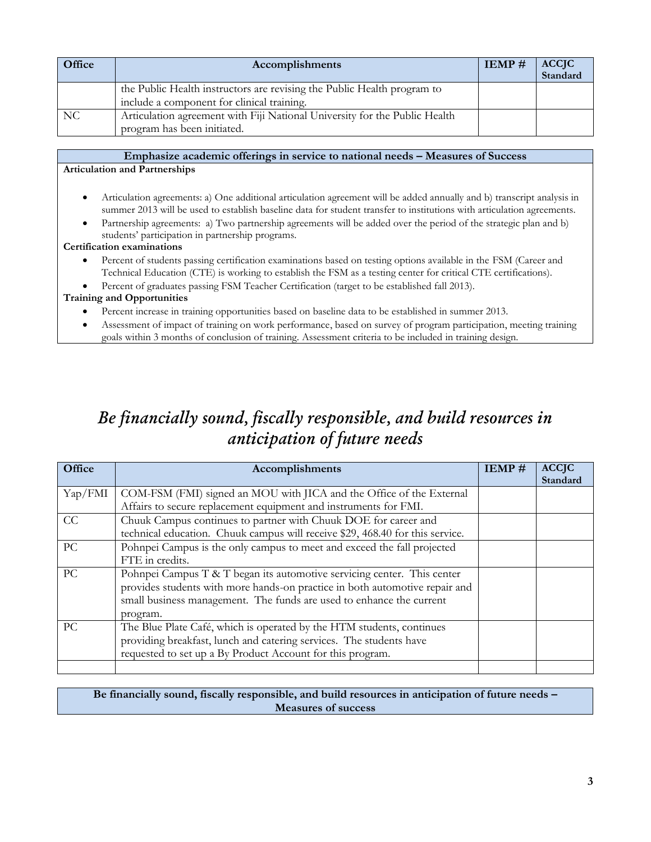| Office | Accomplishments                                                            |  | <b>ACCJC</b><br>Standard |
|--------|----------------------------------------------------------------------------|--|--------------------------|
|        | the Public Health instructors are revising the Public Health program to    |  |                          |
|        | include a component for clinical training.                                 |  |                          |
| NC.    | Articulation agreement with Fiji National University for the Public Health |  |                          |
|        | program has been initiated.                                                |  |                          |

### **Emphasize academic offerings in service to national needs – Measures of Success Articulation and Partnerships**

- Articulation agreements: a) One additional articulation agreement will be added annually and b) transcript analysis in summer 2013 will be used to establish baseline data for student transfer to institutions with articulation agreements.
- Partnership agreements: a) Two partnership agreements will be added over the period of the strategic plan and b) students' participation in partnership programs.

### **Certification examinations**

- Percent of students passing certification examinations based on testing options available in the FSM (Career and Technical Education (CTE) is working to establish the FSM as a testing center for critical CTE certifications).
- Percent of graduates passing FSM Teacher Certification (target to be established fall 2013).

### **Training and Opportunities**

- Percent increase in training opportunities based on baseline data to be established in summer 2013.
- Assessment of impact of training on work performance, based on survey of program participation, meeting training goals within 3 months of conclusion of training. Assessment criteria to be included in training design.

# *Be financially sound, fiscally responsible, and build resources in anticipation of future needs*

| Office  | Accomplishments                                                               | IEMP# | <b>ACCJC</b> |
|---------|-------------------------------------------------------------------------------|-------|--------------|
|         |                                                                               |       | Standard     |
| Yap/FMI | COM-FSM (FMI) signed an MOU with JICA and the Office of the External          |       |              |
|         | Affairs to secure replacement equipment and instruments for FMI.              |       |              |
| CC      | Chuuk Campus continues to partner with Chuuk DOE for career and               |       |              |
|         | technical education. Chuuk campus will receive \$29, 468.40 for this service. |       |              |
| PC      | Pohnpei Campus is the only campus to meet and exceed the fall projected       |       |              |
|         | FTE in credits.                                                               |       |              |
| PC      | Pohnpei Campus T & T began its automotive servicing center. This center       |       |              |
|         | provides students with more hands-on practice in both automotive repair and   |       |              |
|         | small business management. The funds are used to enhance the current          |       |              |
|         | program.                                                                      |       |              |
| PC.     | The Blue Plate Café, which is operated by the HTM students, continues         |       |              |
|         | providing breakfast, lunch and catering services. The students have           |       |              |
|         | requested to set up a By Product Account for this program.                    |       |              |
|         |                                                                               |       |              |

### **Be financially sound, fiscally responsible, and build resources in anticipation of future needs – Measures of success**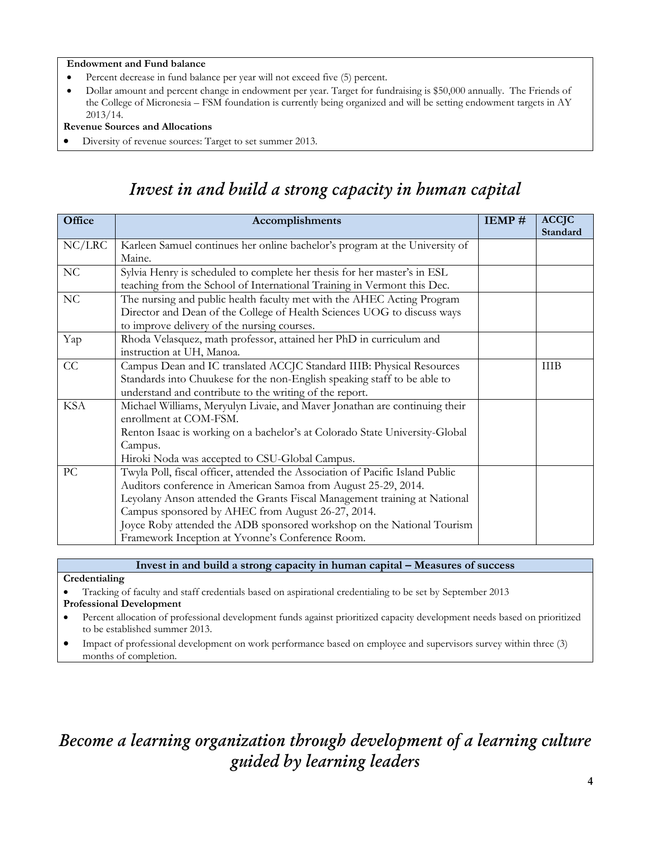### **Endowment and Fund balance**

- Percent decrease in fund balance per year will not exceed five (5) percent.
- Dollar amount and percent change in endowment per year. Target for fundraising is \$50,000 annually. The Friends of the College of Micronesia – FSM foundation is currently being organized and will be setting endowment targets in AY 2013/14.

### **Revenue Sources and Allocations**

**Credentialing**

**Professional Development**

months of completion.

to be established summer 2013.

Diversity of revenue sources: Target to set summer 2013.

### **Office Accomplishments IEMP # ACCJC Standard** NC/LRC Karleen Samuel continues her online bachelor's program at the University of Maine. NC Sylvia Henry is scheduled to complete her thesis for her master's in ESL teaching from the School of International Training in Vermont this Dec. NC The nursing and public health faculty met with the AHEC Acting Program Director and Dean of the College of Health Sciences UOG to discuss ways to improve delivery of the nursing courses. Yap Rhoda Velasquez, math professor, attained her PhD in curriculum and instruction at UH, Manoa. CC Campus Dean and IC translated ACCJC Standard IIIB: Physical Resources Standards into Chuukese for the non-English speaking staff to be able to understand and contribute to the writing of the report. IIIB KSA Michael Williams, Meryulyn Livaie, and Maver Jonathan are continuing their enrollment at COM-FSM. Renton Isaac is working on a bachelor's at Colorado State University-Global Campus. Hiroki Noda was accepted to CSU-Global Campus. PC Twyla Poll, fiscal officer, attended the Association of Pacific Island Public Auditors conference in American Samoa from August 25-29, 2014. Leyolany Anson attended the Grants Fiscal Management training at National Campus sponsored by AHEC from August 26-27, 2014. Joyce Roby attended the ADB sponsored workshop on the National Tourism Framework Inception at Yvonne's Conference Room.

### *Invest in and build a strong capacity in human capital*

# *Become a learning organization through development of a learning culture guided by learning leaders*

**Invest in and build a strong capacity in human capital – Measures of success**

Percent allocation of professional development funds against prioritized capacity development needs based on prioritized

Impact of professional development on work performance based on employee and supervisors survey within three (3)

Tracking of faculty and staff credentials based on aspirational credentialing to be set by September 2013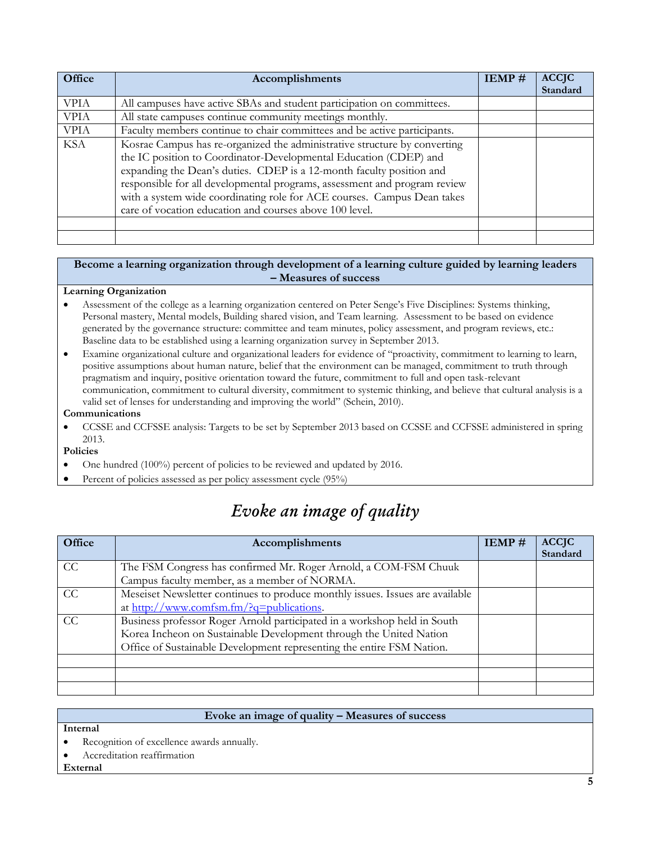| Office      | Accomplishments                                                                                                                                                                                                                                                                                                                                                                                                                           | IEMP# | <b>ACCJC</b><br>Standard |
|-------------|-------------------------------------------------------------------------------------------------------------------------------------------------------------------------------------------------------------------------------------------------------------------------------------------------------------------------------------------------------------------------------------------------------------------------------------------|-------|--------------------------|
| <b>VPIA</b> | All campuses have active SBAs and student participation on committees.                                                                                                                                                                                                                                                                                                                                                                    |       |                          |
| <b>VPIA</b> | All state campuses continue community meetings monthly.                                                                                                                                                                                                                                                                                                                                                                                   |       |                          |
| <b>VPIA</b> | Faculty members continue to chair committees and be active participants.                                                                                                                                                                                                                                                                                                                                                                  |       |                          |
| <b>KSA</b>  | Kosrae Campus has re-organized the administrative structure by converting<br>the IC position to Coordinator-Developmental Education (CDEP) and<br>expanding the Dean's duties. CDEP is a 12-month faculty position and<br>responsible for all developmental programs, assessment and program review<br>with a system wide coordinating role for ACE courses. Campus Dean takes<br>care of vocation education and courses above 100 level. |       |                          |
|             |                                                                                                                                                                                                                                                                                                                                                                                                                                           |       |                          |

#### **Become a learning organization through development of a learning culture guided by learning leaders – Measures of success**

### **Learning Organization**

- Assessment of the college as a learning organization centered on Peter Senge's Five Disciplines: Systems thinking, Personal mastery, Mental models, Building shared vision, and Team learning. Assessment to be based on evidence generated by the governance structure: committee and team minutes, policy assessment, and program reviews, etc.: Baseline data to be established using a learning organization survey in September 2013.
- Examine organizational culture and organizational leaders for evidence of "proactivity, commitment to learning to learn, positive assumptions about human nature, belief that the environment can be managed, commitment to truth through pragmatism and inquiry, positive orientation toward the future, commitment to full and open task-relevant communication, commitment to cultural diversity, commitment to systemic thinking, and believe that cultural analysis is a valid set of lenses for understanding and improving the world" (Schein, 2010).

### **Communications**

 CCSSE and CCFSSE analysis: Targets to be set by September 2013 based on CCSSE and CCFSSE administered in spring 2013.

### **Policies**

- One hundred (100%) percent of policies to be reviewed and updated by 2016.
- Percent of policies assessed as per policy assessment cycle (95%)

# *Evoke an image of quality*

| Office | Accomplishments                                                               | IEMP# | <b>ACCJC</b><br>Standard |
|--------|-------------------------------------------------------------------------------|-------|--------------------------|
| CC     | The FSM Congress has confirmed Mr. Roger Arnold, a COM-FSM Chuuk              |       |                          |
|        | Campus faculty member, as a member of NORMA.                                  |       |                          |
| CC     | Meseiset Newsletter continues to produce monthly issues. Issues are available |       |                          |
|        | at http://www.comfsm.fm/?q=publications.                                      |       |                          |
| CC     | Business professor Roger Arnold participated in a workshop held in South      |       |                          |
|        | Korea Incheon on Sustainable Development through the United Nation            |       |                          |
|        | Office of Sustainable Development representing the entire FSM Nation.         |       |                          |
|        |                                                                               |       |                          |
|        |                                                                               |       |                          |
|        |                                                                               |       |                          |

### **Evoke an image of quality – Measures of success**

#### **Internal**

Recognition of excellence awards annually.

Accreditation reaffirmation

### **External**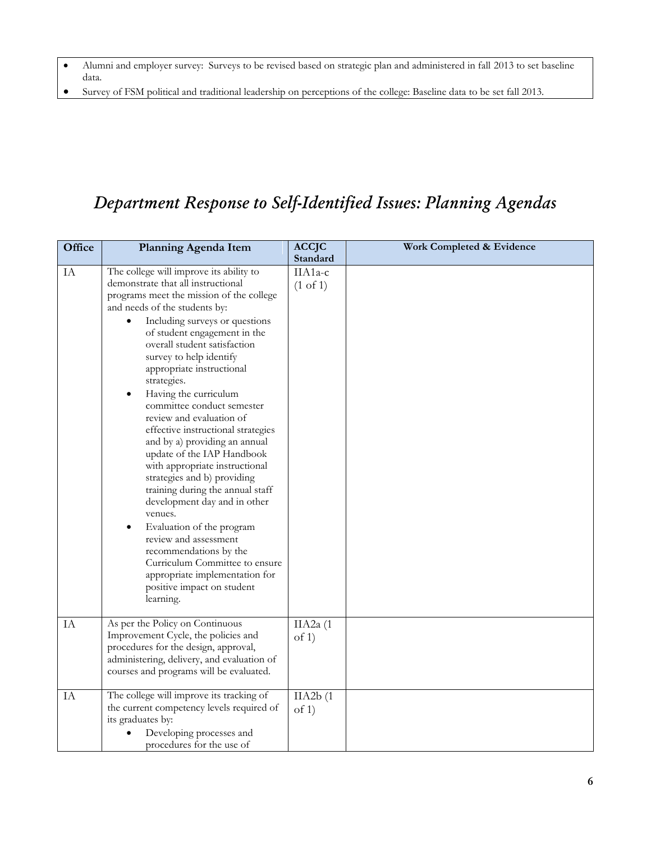- Alumni and employer survey: Surveys to be revised based on strategic plan and administered in fall 2013 to set baseline data.
- Survey of FSM political and traditional leadership on perceptions of the college: Baseline data to be set fall 2013.

# *Department Response to Self-Identified Issues: Planning Agendas*

| Office | Planning Agenda Item                                                                                                                                                                                                                                                                                                                                                                                                                                                                                                                                                                                                                                                                                                                                                                          | <b>ACCJC</b>                               | <b>Work Completed &amp; Evidence</b> |
|--------|-----------------------------------------------------------------------------------------------------------------------------------------------------------------------------------------------------------------------------------------------------------------------------------------------------------------------------------------------------------------------------------------------------------------------------------------------------------------------------------------------------------------------------------------------------------------------------------------------------------------------------------------------------------------------------------------------------------------------------------------------------------------------------------------------|--------------------------------------------|--------------------------------------|
|        |                                                                                                                                                                                                                                                                                                                                                                                                                                                                                                                                                                                                                                                                                                                                                                                               |                                            |                                      |
| IA     | The college will improve its ability to<br>demonstrate that all instructional<br>programs meet the mission of the college<br>and needs of the students by:<br>Including surveys or questions<br>of student engagement in the<br>overall student satisfaction<br>survey to help identify<br>appropriate instructional<br>strategies.<br>Having the curriculum<br>committee conduct semester<br>review and evaluation of<br>effective instructional strategies<br>and by a) providing an annual<br>update of the IAP Handbook<br>with appropriate instructional<br>strategies and b) providing<br>training during the annual staff<br>development day and in other<br>venues.<br>Evaluation of the program<br>review and assessment<br>recommendations by the<br>Curriculum Committee to ensure | Standard<br>IIA1a-c<br>$(1 \text{ of } 1)$ |                                      |
|        | appropriate implementation for<br>positive impact on student<br>learning.                                                                                                                                                                                                                                                                                                                                                                                                                                                                                                                                                                                                                                                                                                                     |                                            |                                      |
| IA     | As per the Policy on Continuous<br>Improvement Cycle, the policies and<br>procedures for the design, approval,<br>administering, delivery, and evaluation of<br>courses and programs will be evaluated.                                                                                                                                                                                                                                                                                                                                                                                                                                                                                                                                                                                       | IIA $2a(1)$<br>of 1)                       |                                      |
| IA     | The college will improve its tracking of<br>the current competency levels required of<br>its graduates by:<br>Developing processes and<br>procedures for the use of                                                                                                                                                                                                                                                                                                                                                                                                                                                                                                                                                                                                                           | IIA2b(1)<br>of 1)                          |                                      |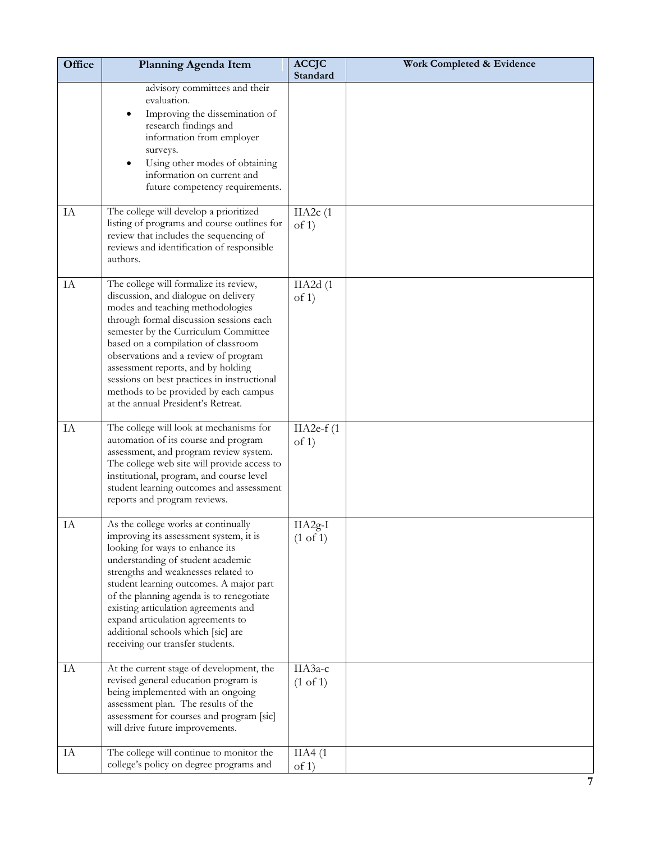| Office | <b>Planning Agenda Item</b>                                                                                                                                                                                                                                                                                                                                                                                                                              | <b>ACCJC</b><br><b>Standard</b>  | Work Completed & Evidence |
|--------|----------------------------------------------------------------------------------------------------------------------------------------------------------------------------------------------------------------------------------------------------------------------------------------------------------------------------------------------------------------------------------------------------------------------------------------------------------|----------------------------------|---------------------------|
|        | advisory committees and their<br>evaluation.<br>Improving the dissemination of<br>research findings and<br>information from employer<br>surveys.<br>Using other modes of obtaining<br>information on current and<br>future competency requirements.                                                                                                                                                                                                      |                                  |                           |
| IA     | The college will develop a prioritized<br>listing of programs and course outlines for<br>review that includes the sequencing of<br>reviews and identification of responsible<br>authors.                                                                                                                                                                                                                                                                 | IIA2c(1)<br>of $1)$              |                           |
| IA     | The college will formalize its review,<br>discussion, and dialogue on delivery<br>modes and teaching methodologies<br>through formal discussion sessions each<br>semester by the Curriculum Committee<br>based on a compilation of classroom<br>observations and a review of program<br>assessment reports, and by holding<br>sessions on best practices in instructional<br>methods to be provided by each campus<br>at the annual President's Retreat. | IIA2d(1)<br>of $1)$              |                           |
| IA     | The college will look at mechanisms for<br>automation of its course and program<br>assessment, and program review system.<br>The college web site will provide access to<br>institutional, program, and course level<br>student learning outcomes and assessment<br>reports and program reviews.                                                                                                                                                         | $IIA2e-f(1)$<br>of $1)$          |                           |
| IA     | As the college works at continually<br>improving its assessment system, it is<br>looking for ways to enhance its<br>understanding of student academic<br>strengths and weaknesses related to<br>student learning outcomes. A major part<br>of the planning agenda is to renegotiate<br>existing articulation agreements and<br>expand articulation agreements to<br>additional schools which [sic] are<br>receiving our transfer students.               | $IIA2g-I$<br>$(1 \text{ of } 1)$ |                           |
| IA     | At the current stage of development, the<br>revised general education program is<br>being implemented with an ongoing<br>assessment plan. The results of the<br>assessment for courses and program [sic]<br>will drive future improvements.                                                                                                                                                                                                              | IIA3a-c<br>$(1 \text{ of } 1)$   |                           |
| IA     | The college will continue to monitor the<br>college's policy on degree programs and                                                                                                                                                                                                                                                                                                                                                                      | IIA4(1)<br>of 1)                 |                           |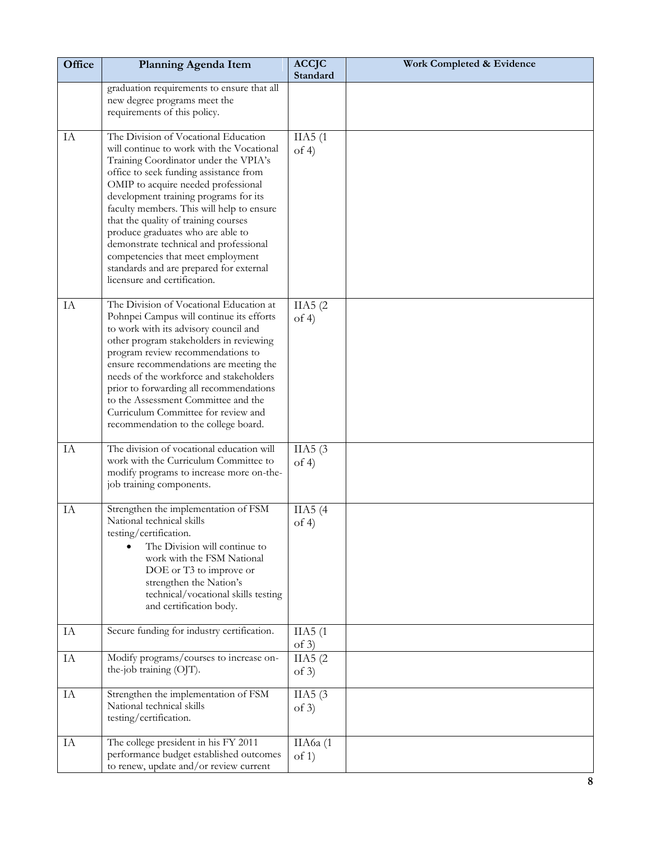| Office | Planning Agenda Item                                                                                                                                                                                                                                                                                                                                                                                                                                                                                                                     | <b>ACCJC</b><br>Standard | Work Completed & Evidence |
|--------|------------------------------------------------------------------------------------------------------------------------------------------------------------------------------------------------------------------------------------------------------------------------------------------------------------------------------------------------------------------------------------------------------------------------------------------------------------------------------------------------------------------------------------------|--------------------------|---------------------------|
|        | graduation requirements to ensure that all<br>new degree programs meet the<br>requirements of this policy.                                                                                                                                                                                                                                                                                                                                                                                                                               |                          |                           |
| IA     | The Division of Vocational Education<br>will continue to work with the Vocational<br>Training Coordinator under the VPIA's<br>office to seek funding assistance from<br>OMIP to acquire needed professional<br>development training programs for its<br>faculty members. This will help to ensure<br>that the quality of training courses<br>produce graduates who are able to<br>demonstrate technical and professional<br>competencies that meet employment<br>standards and are prepared for external<br>licensure and certification. | IIA5(1)<br>of $4$ )      |                           |
| IA     | The Division of Vocational Education at<br>Pohnpei Campus will continue its efforts<br>to work with its advisory council and<br>other program stakeholders in reviewing<br>program review recommendations to<br>ensure recommendations are meeting the<br>needs of the workforce and stakeholders<br>prior to forwarding all recommendations<br>to the Assessment Committee and the<br>Curriculum Committee for review and<br>recommendation to the college board.                                                                       | IIA5(2)<br>of $4$ )      |                           |
| IA     | The division of vocational education will<br>work with the Curriculum Committee to<br>modify programs to increase more on-the-<br>job training components.                                                                                                                                                                                                                                                                                                                                                                               | IIA5(3)<br>of $4$ )      |                           |
| IA     | Strengthen the implementation of FSM<br>National technical skills<br>testing/certification.<br>The Division will continue to<br>work with the FSM National<br>DOE or T3 to improve or<br>strengthen the Nation's<br>technical/vocational skills testing<br>and certification body.                                                                                                                                                                                                                                                       | IIA5(4)<br>of $4$ )      |                           |
| IA     | Secure funding for industry certification.                                                                                                                                                                                                                                                                                                                                                                                                                                                                                               | IIA5(1)<br>of 3)         |                           |
| IA     | Modify programs/courses to increase on-<br>the-job training (OJT).                                                                                                                                                                                                                                                                                                                                                                                                                                                                       | IIA5(2)<br>of $3)$       |                           |
| IA     | Strengthen the implementation of FSM<br>National technical skills<br>testing/certification.                                                                                                                                                                                                                                                                                                                                                                                                                                              | IIA5 $(3)$<br>of $3)$    |                           |
| IA     | The college president in his FY 2011<br>performance budget established outcomes<br>to renew, update and/or review current                                                                                                                                                                                                                                                                                                                                                                                                                | ПА6а (1<br>of 1)         |                           |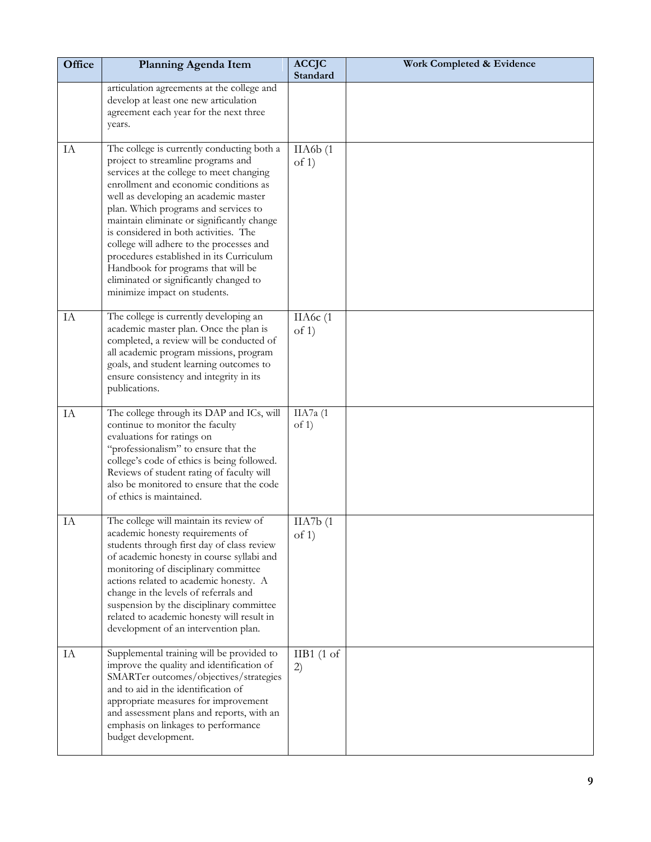| Office | Planning Agenda Item                                                                                                                                                                                                                                                                                                                                                                                                                                                                                                                                  | <b>ACCJC</b><br>Standard | Work Completed & Evidence |
|--------|-------------------------------------------------------------------------------------------------------------------------------------------------------------------------------------------------------------------------------------------------------------------------------------------------------------------------------------------------------------------------------------------------------------------------------------------------------------------------------------------------------------------------------------------------------|--------------------------|---------------------------|
|        | articulation agreements at the college and<br>develop at least one new articulation<br>agreement each year for the next three<br>years.                                                                                                                                                                                                                                                                                                                                                                                                               |                          |                           |
| IA     | The college is currently conducting both a<br>project to streamline programs and<br>services at the college to meet changing<br>enrollment and economic conditions as<br>well as developing an academic master<br>plan. Which programs and services to<br>maintain eliminate or significantly change<br>is considered in both activities. The<br>college will adhere to the processes and<br>procedures established in its Curriculum<br>Handbook for programs that will be<br>eliminated or significantly changed to<br>minimize impact on students. | IIA6b(1)<br>of 1)        |                           |
| IA     | The college is currently developing an<br>academic master plan. Once the plan is<br>completed, a review will be conducted of<br>all academic program missions, program<br>goals, and student learning outcomes to<br>ensure consistency and integrity in its<br>publications.                                                                                                                                                                                                                                                                         | IIA6c(1<br>of 1)         |                           |
| IA     | The college through its DAP and ICs, will<br>continue to monitor the faculty<br>evaluations for ratings on<br>"professionalism" to ensure that the<br>college's code of ethics is being followed.<br>Reviews of student rating of faculty will<br>also be monitored to ensure that the code<br>of ethics is maintained.                                                                                                                                                                                                                               | IIA7a (1<br>of 1)        |                           |
| IA     | The college will maintain its review of<br>academic honesty requirements of<br>students through first day of class review<br>of academic honesty in course syllabi and<br>monitoring of disciplinary committee<br>actions related to academic honesty. A<br>change in the levels of referrals and<br>suspension by the disciplinary committee<br>related to academic honesty will result in<br>development of an intervention plan.                                                                                                                   | IIA7b(1)<br>of 1)        |                           |
| IA     | Supplemental training will be provided to<br>improve the quality and identification of<br>SMARTer outcomes/objectives/strategies<br>and to aid in the identification of<br>appropriate measures for improvement<br>and assessment plans and reports, with an<br>emphasis on linkages to performance<br>budget development.                                                                                                                                                                                                                            | $IIB1$ (1 of<br>2)       |                           |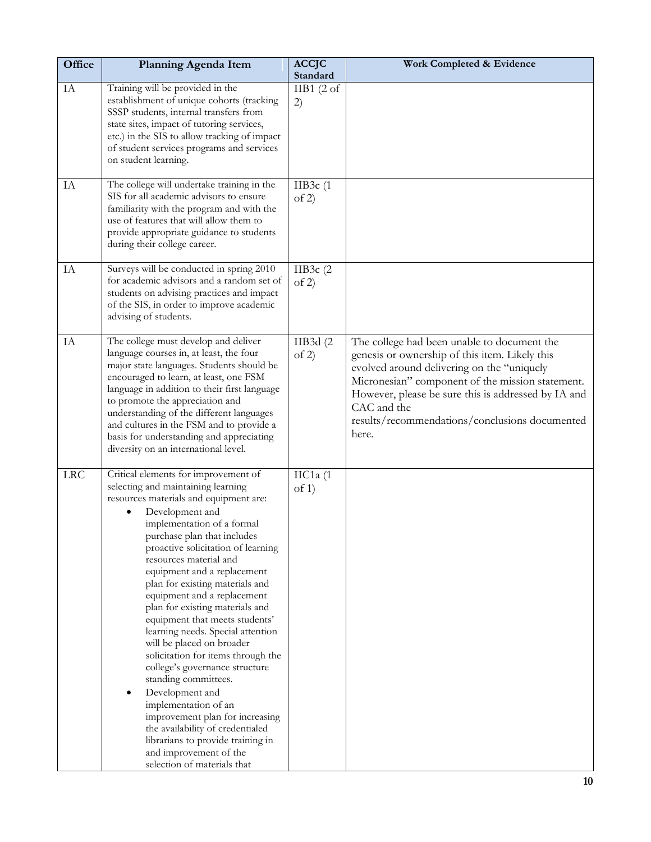| Office     | Planning Agenda Item                                                                                                                                                                                                                                                                                                                                                                                                                                                                                                                                                                                                                                                                                                                                                                                                         | <b>ACCJC</b><br>Standard    | Work Completed & Evidence                                                                                                                                                                                                                                                                                                        |
|------------|------------------------------------------------------------------------------------------------------------------------------------------------------------------------------------------------------------------------------------------------------------------------------------------------------------------------------------------------------------------------------------------------------------------------------------------------------------------------------------------------------------------------------------------------------------------------------------------------------------------------------------------------------------------------------------------------------------------------------------------------------------------------------------------------------------------------------|-----------------------------|----------------------------------------------------------------------------------------------------------------------------------------------------------------------------------------------------------------------------------------------------------------------------------------------------------------------------------|
| IA         | Training will be provided in the<br>establishment of unique cohorts (tracking<br>SSSP students, internal transfers from<br>state sites, impact of tutoring services,<br>etc.) in the SIS to allow tracking of impact<br>of student services programs and services<br>on student learning.                                                                                                                                                                                                                                                                                                                                                                                                                                                                                                                                    | IIB1 $(2 \text{ of }$<br>2) |                                                                                                                                                                                                                                                                                                                                  |
| IA         | The college will undertake training in the<br>SIS for all academic advisors to ensure<br>familiarity with the program and with the<br>use of features that will allow them to<br>provide appropriate guidance to students<br>during their college career.                                                                                                                                                                                                                                                                                                                                                                                                                                                                                                                                                                    | IIB $3c(1)$<br>of 2)        |                                                                                                                                                                                                                                                                                                                                  |
| IA         | Surveys will be conducted in spring 2010<br>for academic advisors and a random set of<br>students on advising practices and impact<br>of the SIS, in order to improve academic<br>advising of students.                                                                                                                                                                                                                                                                                                                                                                                                                                                                                                                                                                                                                      | IIB3 $c(2)$<br>of 2)        |                                                                                                                                                                                                                                                                                                                                  |
| IA         | The college must develop and deliver<br>language courses in, at least, the four<br>major state languages. Students should be<br>encouraged to learn, at least, one FSM<br>language in addition to their first language<br>to promote the appreciation and<br>understanding of the different languages<br>and cultures in the FSM and to provide a<br>basis for understanding and appreciating<br>diversity on an international level.                                                                                                                                                                                                                                                                                                                                                                                        | IIB3d (2<br>of 2)           | The college had been unable to document the<br>genesis or ownership of this item. Likely this<br>evolved around delivering on the "uniquely<br>Micronesian" component of the mission statement.<br>However, please be sure this is addressed by IA and<br>CAC and the<br>results/recommendations/conclusions documented<br>here. |
| <b>LRC</b> | Critical elements for improvement of<br>selecting and maintaining learning<br>resources materials and equipment are:<br>Development and<br>implementation of a formal<br>purchase plan that includes<br>proactive solicitation of learning<br>resources material and<br>equipment and a replacement<br>plan for existing materials and<br>equipment and a replacement<br>plan for existing materials and<br>equipment that meets students'<br>learning needs. Special attention<br>will be placed on broader<br>solicitation for items through the<br>college's governance structure<br>standing committees.<br>Development and<br>implementation of an<br>improvement plan for increasing<br>the availability of credentialed<br>librarians to provide training in<br>and improvement of the<br>selection of materials that | $\text{IIC1a}$ (1<br>of 1)  |                                                                                                                                                                                                                                                                                                                                  |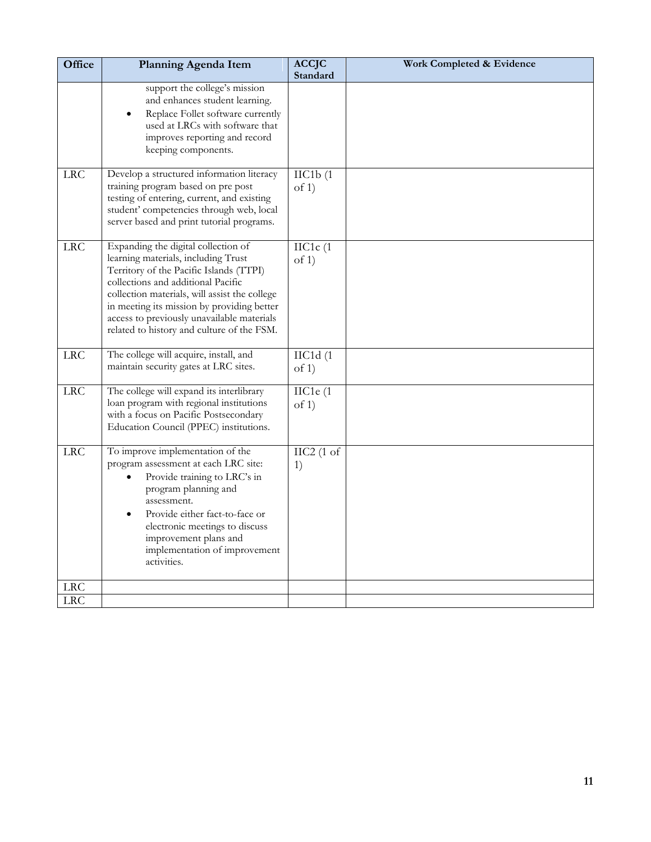| Office     | Planning Agenda Item                                                                                                                                                                                                                                                                                                                                   | <b>ACCJC</b><br>Standard      | <b>Work Completed &amp; Evidence</b> |
|------------|--------------------------------------------------------------------------------------------------------------------------------------------------------------------------------------------------------------------------------------------------------------------------------------------------------------------------------------------------------|-------------------------------|--------------------------------------|
|            | support the college's mission<br>and enhances student learning.<br>Replace Follet software currently<br>used at LRCs with software that<br>improves reporting and record<br>keeping components.                                                                                                                                                        |                               |                                      |
| LRC        | Develop a structured information literacy<br>training program based on pre post<br>testing of entering, current, and existing<br>student' competencies through web, local<br>server based and print tutorial programs.                                                                                                                                 | $\text{IIC1b}$ $(1)$<br>of 1) |                                      |
| <b>LRC</b> | Expanding the digital collection of<br>learning materials, including Trust<br>Territory of the Pacific Islands (TTPI)<br>collections and additional Pacific<br>collection materials, will assist the college<br>in meeting its mission by providing better<br>access to previously unavailable materials<br>related to history and culture of the FSM. | $\text{IIC1c}$ (1<br>of 1)    |                                      |
| <b>LRC</b> | The college will acquire, install, and<br>maintain security gates at LRC sites.                                                                                                                                                                                                                                                                        | $\text{IIC1d (1)}$<br>of 1)   |                                      |
| LRC        | The college will expand its interlibrary<br>loan program with regional institutions<br>with a focus on Pacific Postsecondary<br>Education Council (PPEC) institutions.                                                                                                                                                                                 | IIC1e (1<br>of 1)             |                                      |
| <b>LRC</b> | To improve implementation of the<br>program assessment at each LRC site:<br>Provide training to LRC's in<br>program planning and<br>assessment.<br>Provide either fact-to-face or<br>electronic meetings to discuss<br>improvement plans and<br>implementation of improvement<br>activities.                                                           | $\text{IIC2}$ (1 of<br>1)     |                                      |
| <b>LRC</b> |                                                                                                                                                                                                                                                                                                                                                        |                               |                                      |
| LRC        |                                                                                                                                                                                                                                                                                                                                                        |                               |                                      |